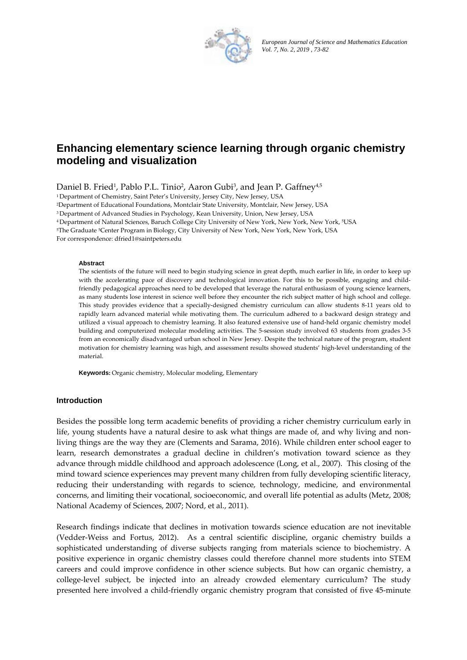

European Journal of Science and Mathematics Education *Vol. 7, No. 2, 2019 , 73-82*

# **Enhancing elementary science learning through organic chemistry modeling and visualization**

Daniel B. Fried½, Pablo P.L. Tinio<sup>2</sup>, Aaron Gubi<sup>3</sup>, and Jean P. Gaffney<sup>4,5</sup>

<sup>1</sup>Department of Chemistry, Saint Peter's University, Jersey City, New Jersey, USA

<sup>2</sup>Department of Educational Foundations, Montclair State University, Montclair, New Jersey, USA

<sup>3</sup>Department of Advanced Studies in Psychology, Kean University, Union, New Jersey, USA

Department of Natural Sciences, Baruch College City University of New York, New York, New York, 5USA  $^{\rm 5USA}$ 

 $^{5}$ The Graduate  $^{5}$ Center Program in Biology, City University of New York, New York, New York, USA

For correspondence: dfried1@saintpeters.edu

#### **Ab bstract**

aduate <sup>5</sup>Center Program in Biology, City University of New York, New York, New York, USA<br>espondence: dfried1@saintpeters.edu<br>**Abstract**<br>The scientists of the future will need to begin studying science in great depth, much with the accelerating pace of discovery and technological innovation. For this to be possible, engaging and childfriendly pedagogical approaches need to be developed that leverage the natural enthusiasm of young science learners, as many students lose interest in science well before they encounter the rich subject matter of high school and college. This study provides evidence that a specially-designed chemistry curriculum can allow students 8-11 years old to rapidly learn advanced material while motivating them. The curriculum adhered to a backward design strategy and utilized a visual approach to chemistry learning. It also featured extensive use of hand-held organic chemistry model building and computerized molecular modeling activities. The 5-session study involved 63 students from grades 3-5 from an economically disadvantaged urban school in New Jersey. Despite the technical nature of the program, student motivation for chemistry learning was high, and assessment results showed students' high-level understanding of the m aterial.

Keywords: Organic chemistry, Molecular modeling, Elementary

#### **Introduction**

Besides the possible long term academic benefits of providing a richer chemistry curriculum early in life, young students have a natural desire to ask what things are made of, and why living and nonliving things are the way they are (Clements and Sarama, 2016). While children enter school eager to learn, research demonstrates a gradual decline in children's motivation toward science as they advance through middle childhood and approach adolescence (Long, et al., 2007). This closing of the mind toward science experiences may prevent many children from fully developing scientific literacy, reducing their understanding with regards to science, technology, medicine, and environmental concerns, and limiting their vocational, socioeconomic, and overall life potential as adults (Metz, 2008; National Academy of Sciences, 2007; Nord, et al., 2011).

Research findings indicate that declines in motivation towards science education are not inevitable (Vedder-Weiss and Fortus, 2012). As a central scientific discipline, organic chemistry builds a sophisticated understanding of diverse subjects ranging from materials science to biochemistry. A positive experience in organic c chemistry cla asses could therefore ch hannel more students in to STEM careers and could improve confidence in other science subjects. But how can organic chemistry, a college-level subject, be injected into an already crowded elementary curriculum? The study presented here involved a child-friendly organic chemistry program that consisted of five 45-minute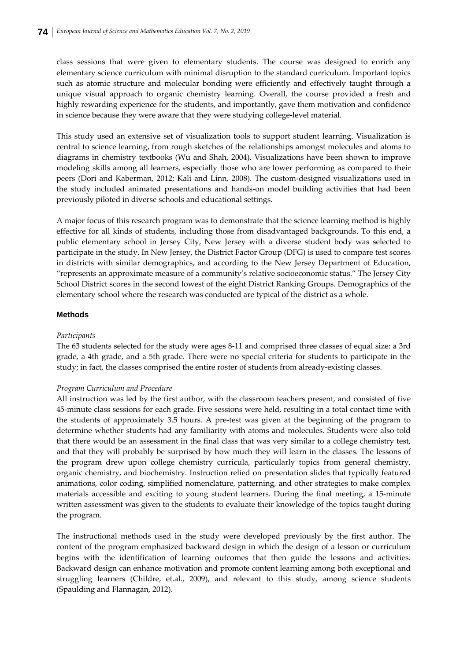class sessions that were given to elementary students. The course was designed to enrich any elementary science curriculum with minimal disruption to the standard curriculum. Important topics such as atomic structure and molecular bonding were efficiently and effectively taught through a unique visual approach to organic chemistry learning. Overall, the course provided a fresh and highly rewarding experience for the students, and importantly, gave them motivation and confidence in science because they were aware that they were studying college‐level material.

This study used an extensive set of visualization tools to support student learning. Visualization is central to science learning, from rough sketches of the relationships amongst molecules and atoms to diagrams in chemistry textbooks (Wu and Shah, 2004). Visualizations have been shown to improve modeling skills among all learners, especially those who are lower performing as compared to their peers (Dori and Kaberman, 2012; Kali and Linn, 2008). The custom-designed visualizations used in the study included animated presentations and hands‐on model building activities that had been previously piloted in diverse schools and educational settings.

A major focus of this research program was to demonstrate that the science learning method is highly effective for all kinds of students, including those from disadvantaged backgrounds. To this end, a public elementary school in Jersey City, New Jersey with a diverse student body was selected to participate in the study. In New Jersey, the District Factor Group (DFG) is used to compare test scores in districts with similar demographics, and according to the New Jersey Department of Education, "represents an approximate measure of a community's relative socioeconomic status." The Jersey City School District scores in the second lowest of the eight District Ranking Groups. Demographics of the elementary school where the research was conducted are typical of the district as a whole.

#### **Methods**

#### *Participants*

The 63 students selected for the study were ages 8‐11 and comprised three classes of equal size: a 3rd grade, a 4th grade, and a 5th grade. There were no special criteria for students to participate in the study; in fact, the classes comprised the entire roster of students from already‐existing classes.

#### *Program Curriculum and Procedure*

All instruction was led by the first author, with the classroom teachers present, and consisted of five 45-minute class sessions for each grade. Five sessions were held, resulting in a total contact time with the students of approximately 3.5 hours. A pre‐test was given at the beginning of the program to determine whether students had any familiarity with atoms and molecules. Students were also told that there would be an assessment in the final class that was very similar to a college chemistry test, and that they will probably be surprised by how much they will learn in the classes. The lessons of the program drew upon college chemistry curricula, particularly topics from general chemistry, organic chemistry, and biochemistry. Instruction relied on presentation slides that typically featured animations, color coding, simplified nomenclature, patterning, and other strategies to make complex materials accessible and exciting to young student learners. During the final meeting, a 15-minute written assessment was given to the students to evaluate their knowledge of the topics taught during the program.

The instructional methods used in the study were developed previously by the first author. The content of the program emphasized backward design in which the design of a lesson or curriculum begins with the identification of learning outcomes that then guide the lessons and activities. Backward design can enhance motivation and promote content learning among both exceptional and struggling learners (Childre, et.al., 2009), and relevant to this study, among science students (Spaulding and Flannagan, 2012).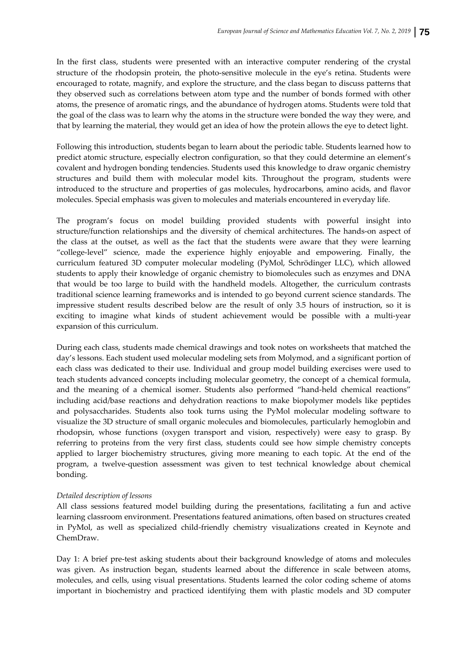In the first class, students were presented with an interactive computer rendering of the crystal structure of the rhodopsin protein, the photo-sensitive molecule in the eye's retina. Students were encouraged to rotate, magnify, and explore the structure, and the class began to discuss patterns that they observed such as correlations between atom type and the number of bonds formed with other atoms, the presence of aromatic rings, and the abundance of hydrogen atoms. Students were told that the goal of the class was to learn why the atoms in the structure were bonded the way they were, and that by learning the material, they would get an idea of how the protein allows the eye to detect light.

Following this introduction, students began to learn about the periodic table. Students learned how to predict atomic structure, especially electron configuration, so that they could determine an element's covalent and hydrogen bonding tendencies. Students used this knowledge to draw organic chemistry structures and build them with molecular model kits. Throughout the program, students were introduced to the structure and properties of gas molecules, hydrocarbons, amino acids, and flavor molecules. Special emphasis was given to molecules and materials encountered in everyday life.

The program's focus on model building provided students with powerful insight into structure/function relationships and the diversity of chemical architectures. The hands‐on aspect of the class at the outset, as well as the fact that the students were aware that they were learning "college‐level" science, made the experience highly enjoyable and empowering. Finally, the curriculum featured 3D computer molecular modeling (PyMol, Schrödinger LLC), which allowed students to apply their knowledge of organic chemistry to biomolecules such as enzymes and DNA that would be too large to build with the handheld models. Altogether, the curriculum contrasts traditional science learning frameworks and is intended to go beyond current science standards. The impressive student results described below are the result of only 3.5 hours of instruction, so it is exciting to imagine what kinds of student achievement would be possible with a multi-year expansion of this curriculum.

During each class, students made chemical drawings and took notes on worksheets that matched the day's lessons. Each student used molecular modeling sets from Molymod, and a significant portion of each class was dedicated to their use. Individual and group model building exercises were used to teach students advanced concepts including molecular geometry, the concept of a chemical formula, and the meaning of a chemical isomer. Students also performed "hand‐held chemical reactions" including acid/base reactions and dehydration reactions to make biopolymer models like peptides and polysaccharides. Students also took turns using the PyMol molecular modeling software to visualize the 3D structure of small organic molecules and biomolecules, particularly hemoglobin and rhodopsin, whose functions (oxygen transport and vision, respectively) were easy to grasp. By referring to proteins from the very first class, students could see how simple chemistry concepts applied to larger biochemistry structures, giving more meaning to each topic. At the end of the program, a twelve-question assessment was given to test technical knowledge about chemical bonding.

## *Detailed description of lessons*

All class sessions featured model building during the presentations, facilitating a fun and active learning classroom environment. Presentations featured animations, often based on structures created in PyMol, as well as specialized child‐friendly chemistry visualizations created in Keynote and ChemDraw.

Day 1: A brief pre-test asking students about their background knowledge of atoms and molecules was given. As instruction began, students learned about the difference in scale between atoms, molecules, and cells, using visual presentations. Students learned the color coding scheme of atoms important in biochemistry and practiced identifying them with plastic models and 3D computer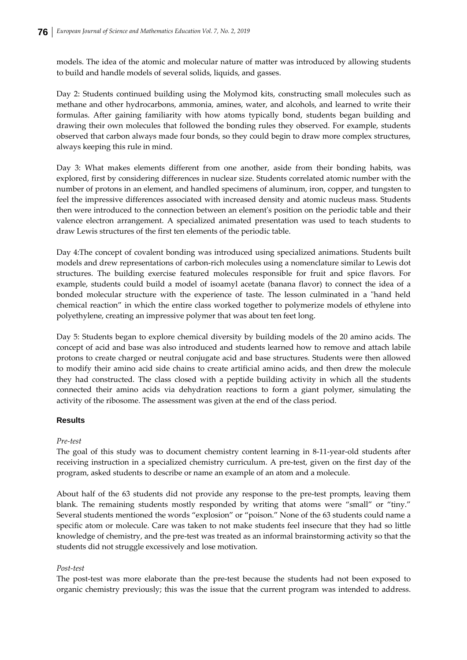models. The idea of the atomic and molecular nature of matter was introduced by allowing students to build and handle models of several solids, liquids, and gasses.

Day 2: Students continued building using the Molymod kits, constructing small molecules such as methane and other hydrocarbons, ammonia, amines, water, and alcohols, and learned to write their formulas. After gaining familiarity with how atoms typically bond, students began building and drawing their own molecules that followed the bonding rules they observed. For example, students observed that carbon always made four bonds, so they could begin to draw more complex structures, always keeping this rule in mind.

Day 3: What makes elements different from one another, aside from their bonding habits, was explored, first by considering differences in nuclear size. Students correlated atomic number with the number of protons in an element, and handled specimens of aluminum, iron, copper, and tungsten to feel the impressive differences associated with increased density and atomic nucleus mass. Students then were introduced to the connection between an elementʹs position on the periodic table and their valence electron arrangement. A specialized animated presentation was used to teach students to draw Lewis structures of the first ten elements of the periodic table.

Day 4:The concept of covalent bonding was introduced using specialized animations. Students built models and drew representations of carbon‐rich molecules using a nomenclature similar to Lewis dot structures. The building exercise featured molecules responsible for fruit and spice flavors. For example, students could build a model of isoamyl acetate (banana flavor) to connect the idea of a bonded molecular structure with the experience of taste. The lesson culminated in a "hand held chemical reaction" in which the entire class worked together to polymerize models of ethylene into polyethylene, creating an impressive polymer that was about ten feet long.

Day 5: Students began to explore chemical diversity by building models of the 20 amino acids. The concept of acid and base was also introduced and students learned how to remove and attach labile protons to create charged or neutral conjugate acid and base structures. Students were then allowed to modify their amino acid side chains to create artificial amino acids, and then drew the molecule they had constructed. The class closed with a peptide building activity in which all the students connected their amino acids via dehydration reactions to form a giant polymer, simulating the activity of the ribosome. The assessment was given at the end of the class period.

## **Results**

#### *Pre‐test*

The goal of this study was to document chemistry content learning in 8‐11‐year‐old students after receiving instruction in a specialized chemistry curriculum. A pre‐test, given on the first day of the program, asked students to describe or name an example of an atom and a molecule.

About half of the 63 students did not provide any response to the pre‐test prompts, leaving them blank. The remaining students mostly responded by writing that atoms were "small" or "tiny." Several students mentioned the words "explosion" or "poison." None of the 63 students could name a specific atom or molecule. Care was taken to not make students feel insecure that they had so little knowledge of chemistry, and the pre‐test was treated as an informal brainstorming activity so that the students did not struggle excessively and lose motivation.

#### *Post‐test*

The post-test was more elaborate than the pre-test because the students had not been exposed to organic chemistry previously; this was the issue that the current program was intended to address.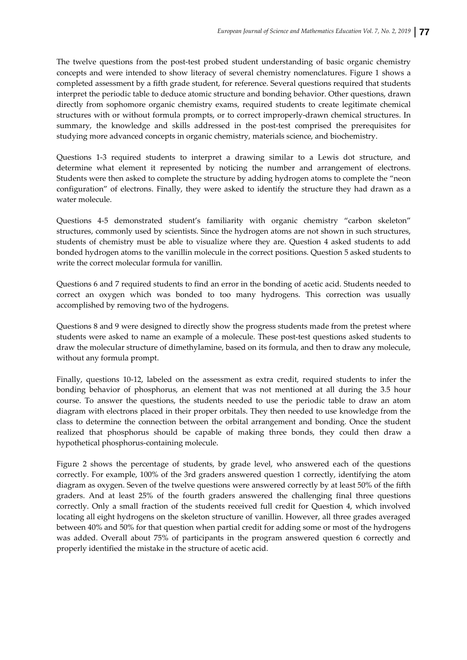The twelve questions from the post-test probed student understanding of basic organic chemistry concepts and were intended to show literacy of several chemistry nomenclatures. Figure 1 shows a completed assessment by a fifth grade student, for reference. Several questions required that students interpret the periodic table to deduce atomic structure and bonding behavior. Other questions, drawn directly from sophomore organic chemistry exams, required students to create legitimate chemical structures with or without formula prompts, or to correct improperly‐drawn chemical structures. In summary, the knowledge and skills addressed in the post-test comprised the prerequisites for studying more advanced concepts in organic chemistry, materials science, and biochemistry.

Questions 1‐3 required students to interpret a drawing similar to a Lewis dot structure, and determine what element it represented by noticing the number and arrangement of electrons. Students were then asked to complete the structure by adding hydrogen atoms to complete the "neon configuration" of electrons. Finally, they were asked to identify the structure they had drawn as a water molecule.

Questions 4‐5 demonstrated student's familiarity with organic chemistry "carbon skeleton" structures, commonly used by scientists. Since the hydrogen atoms are not shown in such structures, students of chemistry must be able to visualize where they are. Question 4 asked students to add bonded hydrogen atoms to the vanillin molecule in the correct positions. Question 5 asked students to write the correct molecular formula for vanillin.

Questions 6 and 7 required students to find an error in the bonding of acetic acid. Students needed to correct an oxygen which was bonded to too many hydrogens. This correction was usually accomplished by removing two of the hydrogens.

Questions 8 and 9 were designed to directly show the progress students made from the pretest where students were asked to name an example of a molecule. These post-test questions asked students to draw the molecular structure of dimethylamine, based on its formula, and then to draw any molecule, without any formula prompt.

Finally, questions 10‐12, labeled on the assessment as extra credit, required students to infer the bonding behavior of phosphorus, an element that was not mentioned at all during the 3.5 hour course. To answer the questions, the students needed to use the periodic table to draw an atom diagram with electrons placed in their proper orbitals. They then needed to use knowledge from the class to determine the connection between the orbital arrangement and bonding. Once the student realized that phosphorus should be capable of making three bonds, they could then draw a hypothetical phosphorus‐containing molecule.

Figure 2 shows the percentage of students, by grade level, who answered each of the questions correctly. For example, 100% of the 3rd graders answered question 1 correctly, identifying the atom diagram as oxygen. Seven of the twelve questions were answered correctly by at least 50% of the fifth graders. And at least 25% of the fourth graders answered the challenging final three questions correctly. Only a small fraction of the students received full credit for Question 4, which involved locating all eight hydrogens on the skeleton structure of vanillin. However, all three grades averaged between 40% and 50% for that question when partial credit for adding some or most of the hydrogens was added. Overall about 75% of participants in the program answered question 6 correctly and properly identified the mistake in the structure of acetic acid.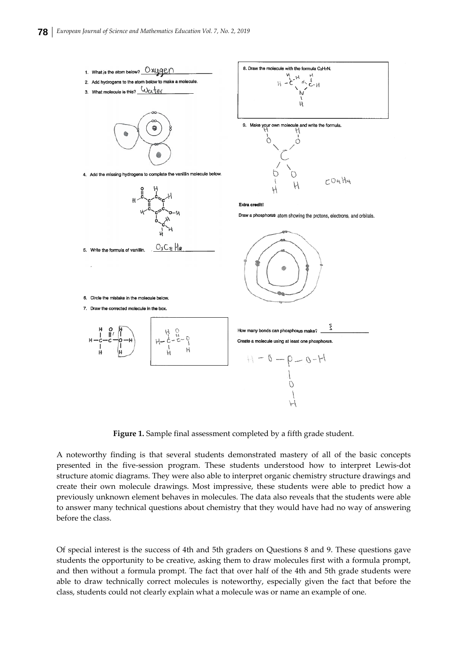

**Figure 1.** Sample final assessment completed by a fifth grade student.

A noteworthy finding is that several students demonstrated mastery of all of the basic concepts presented in the five‐session program. These students understood how to interpret Lewis‐dot structure atomic diagrams. They were also able to interpret organic chemistry structure drawings and create their own molecule drawings. Most impressive, these students were able to predict how a previously unknown element behaves in molecules. The data also reveals that the students were able to answer many technical questions about chemistry that they would have had no way of answering before the class.

Of special interest is the success of 4th and 5th graders on Questions 8 and 9. These questions gave students the opportunity to be creative, asking them to draw molecules first with a formula prompt, and then without a formula prompt. The fact that over half of the 4th and 5th grade students were able to draw technically correct molecules is noteworthy, especially given the fact that before the class, students could not clearly explain what a molecule was or name an example of one.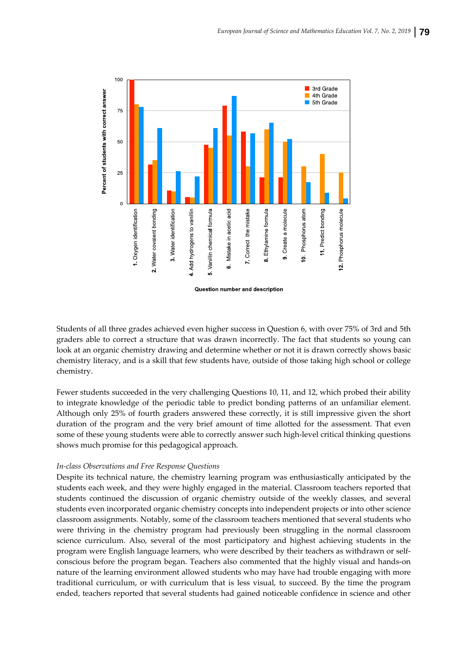

Students of all three grades achieved even higher success in Question 6, with over 75% of 3rd and 5th graders able to correct a structure that was drawn incorrectly. The fact that students so young can look at an organic chemistry drawing and determine whether or not it is drawn correctly shows basic chemistry literacy, and is a skill that few students have, outside of those taking high school or college chemistry.

Fewer students succeeded in the very challenging Questions 10, 11, and 12, which probed their ability to integrate knowledge of the periodic table to predict bonding patterns of an unfamiliar element. Although only 25% of fourth graders answered these correctly, it is still impressive given the short duration of the program and the very brief amount of time allotted for the assessment. That even some of these young students were able to correctly answer such high-level critical thinking questions shows much promise for this pedagogical approach.

### *In‐class Observations and Free Response Questions*

Despite its technical nature, the chemistry learning program was enthusiastically anticipated by the students each week, and they were highly engaged in the material. Classroom teachers reported that students continued the discussion of organic chemistry outside of the weekly classes, and several students even incorporated organic chemistry concepts into independent projects or into other science classroom assignments. Notably, some of the classroom teachers mentioned that several students who were thriving in the chemistry program had previously been struggling in the normal classroom science curriculum. Also, several of the most participatory and highest achieving students in the program were English language learners, who were described by their teachers as withdrawn or self‐ conscious before the program began. Teachers also commented that the highly visual and hands‐on nature of the learning environment allowed students who may have had trouble engaging with more traditional curriculum, or with curriculum that is less visual, to succeed. By the time the program ended, teachers reported that several students had gained noticeable confidence in science and other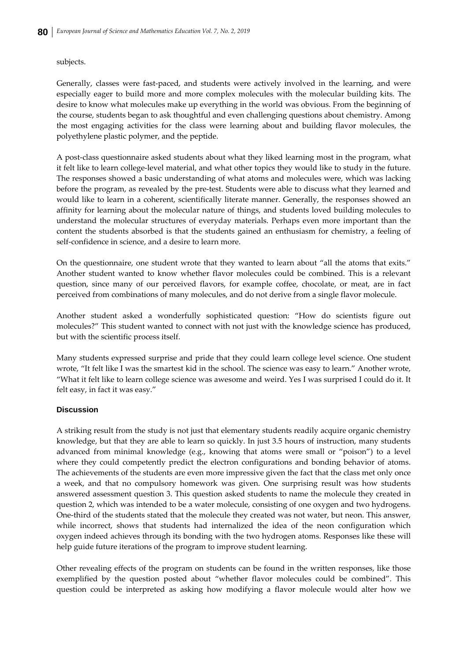### subjects.

Generally, classes were fast‐paced, and students were actively involved in the learning, and were especially eager to build more and more complex molecules with the molecular building kits. The desire to know what molecules make up everything in the world was obvious. From the beginning of the course, students began to ask thoughtful and even challenging questions about chemistry. Among the most engaging activities for the class were learning about and building flavor molecules, the polyethylene plastic polymer, and the peptide.

A post‐class questionnaire asked students about what they liked learning most in the program, what it felt like to learn college‐level material, and what other topics they would like to study in the future. The responses showed a basic understanding of what atoms and molecules were, which was lacking before the program, as revealed by the pre‐test. Students were able to discuss what they learned and would like to learn in a coherent, scientifically literate manner. Generally, the responses showed an affinity for learning about the molecular nature of things, and students loved building molecules to understand the molecular structures of everyday materials. Perhaps even more important than the content the students absorbed is that the students gained an enthusiasm for chemistry, a feeling of self-confidence in science, and a desire to learn more.

On the questionnaire, one student wrote that they wanted to learn about "all the atoms that exits." Another student wanted to know whether flavor molecules could be combined. This is a relevant question, since many of our perceived flavors, for example coffee, chocolate, or meat, are in fact perceived from combinations of many molecules, and do not derive from a single flavor molecule.

Another student asked a wonderfully sophisticated question: "How do scientists figure out molecules?" This student wanted to connect with not just with the knowledge science has produced, but with the scientific process itself.

Many students expressed surprise and pride that they could learn college level science. One student wrote, "It felt like I was the smartest kid in the school. The science was easy to learn." Another wrote, "What it felt like to learn college science was awesome and weird. Yes I was surprised I could do it. It felt easy, in fact it was easy."

## **Discussion**

A striking result from the study is not just that elementary students readily acquire organic chemistry knowledge, but that they are able to learn so quickly. In just 3.5 hours of instruction, many students advanced from minimal knowledge (e.g., knowing that atoms were small or "poison") to a level where they could competently predict the electron configurations and bonding behavior of atoms. The achievements of the students are even more impressive given the fact that the class met only once a week, and that no compulsory homework was given. One surprising result was how students answered assessment question 3. This question asked students to name the molecule they created in question 2, which was intended to be a water molecule, consisting of one oxygen and two hydrogens. One-third of the students stated that the molecule they created was not water, but neon. This answer, while incorrect, shows that students had internalized the idea of the neon configuration which oxygen indeed achieves through its bonding with the two hydrogen atoms. Responses like these will help guide future iterations of the program to improve student learning.

Other revealing effects of the program on students can be found in the written responses, like those exemplified by the question posted about "whether flavor molecules could be combined". This question could be interpreted as asking how modifying a flavor molecule would alter how we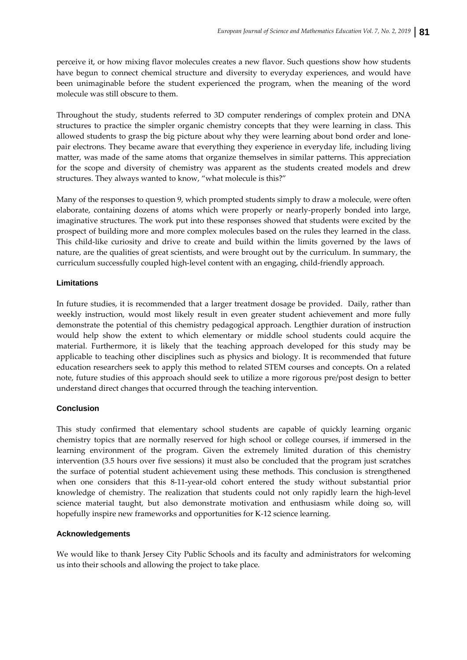perceive it, or how mixing flavor molecules creates a new flavor. Such questions show how students have begun to connect chemical structure and diversity to everyday experiences, and would have been unimaginable before the student experienced the program, when the meaning of the word molecule was still obscure to them.

Throughout the study, students referred to 3D computer renderings of complex protein and DNA structures to practice the simpler organic chemistry concepts that they were learning in class. This allowed students to grasp the big picture about why they were learning about bond order and lone‐ pair electrons. They became aware that everything they experience in everyday life, including living matter, was made of the same atoms that organize themselves in similar patterns. This appreciation for the scope and diversity of chemistry was apparent as the students created models and drew structures. They always wanted to know, "what molecule is this?"

Many of the responses to question 9, which prompted students simply to draw a molecule, were often elaborate, containing dozens of atoms which were properly or nearly‐properly bonded into large, imaginative structures. The work put into these responses showed that students were excited by the prospect of building more and more complex molecules based on the rules they learned in the class. This child‐like curiosity and drive to create and build within the limits governed by the laws of nature, are the qualities of great scientists, and were brought out by the curriculum. In summary, the curriculum successfully coupled high‐level content with an engaging, child‐friendly approach.

## **Limitations**

In future studies, it is recommended that a larger treatment dosage be provided. Daily, rather than weekly instruction, would most likely result in even greater student achievement and more fully demonstrate the potential of this chemistry pedagogical approach. Lengthier duration of instruction would help show the extent to which elementary or middle school students could acquire the material. Furthermore, it is likely that the teaching approach developed for this study may be applicable to teaching other disciplines such as physics and biology. It is recommended that future education researchers seek to apply this method to related STEM courses and concepts. On a related note, future studies of this approach should seek to utilize a more rigorous pre/post design to better understand direct changes that occurred through the teaching intervention.

## **Conclusion**

This study confirmed that elementary school students are capable of quickly learning organic chemistry topics that are normally reserved for high school or college courses, if immersed in the learning environment of the program. Given the extremely limited duration of this chemistry intervention (3.5 hours over five sessions) it must also be concluded that the program just scratches the surface of potential student achievement using these methods. This conclusion is strengthened when one considers that this 8‐11‐year‐old cohort entered the study without substantial prior knowledge of chemistry. The realization that students could not only rapidly learn the high-level science material taught, but also demonstrate motivation and enthusiasm while doing so, will hopefully inspire new frameworks and opportunities for K-12 science learning.

## **Acknowledgements**

We would like to thank Jersey City Public Schools and its faculty and administrators for welcoming us into their schools and allowing the project to take place.